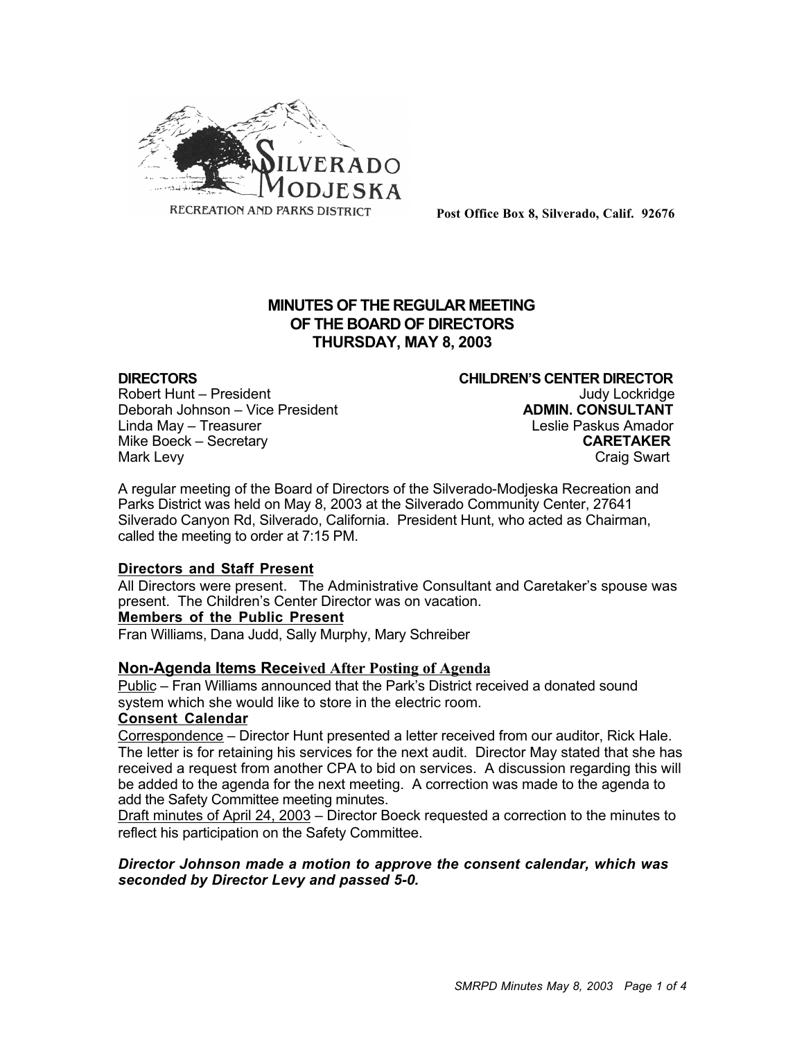

**Post Office Box 8, Silverado, Calif. 92676**

# **MINUTES OF THE REGULAR MEETING OF THE BOARD OF DIRECTORS THURSDAY, MAY 8, 2003**

Robert Hunt – President III (In the School of The School of The School of The School of The School of The Scho<br>Indian Judy Lockridge (In the President III) (In the School of The School of The President III) (In the School Deborah Johnson – Vice President **ADMIN. CONSULTANT** Linda May – Treasurer Linda May – Treasurer Leslie Paskus Amador<br>Mike Boeck – Secretary Linda CARETAKER **Mike Boeck – Secretary** Mark Levy **Craig Swart** Craig Swart Swart Craig Swart Swart Swart Swart Swart Swart Swart Swart Swart Swart Swart

**DIRECTORS CHILDREN'S CENTER DIRECTOR**

A regular meeting of the Board of Directors of the Silverado-Modjeska Recreation and Parks District was held on May 8, 2003 at the Silverado Community Center, 27641 Silverado Canyon Rd, Silverado, California. President Hunt, who acted as Chairman, called the meeting to order at 7:15 PM.

## **Directors and Staff Present**

All Directors were present. The Administrative Consultant and Caretaker's spouse was present. The Children's Center Director was on vacation.

#### **Members of the Public Present**

Fran Williams, Dana Judd, Sally Murphy, Mary Schreiber

## **Non-Agenda Items Received After Posting of Agenda**

Public – Fran Williams announced that the Park's District received a donated sound system which she would like to store in the electric room.

#### **Consent Calendar**

Correspondence – Director Hunt presented a letter received from our auditor, Rick Hale. The letter is for retaining his services for the next audit. Director May stated that she has received a request from another CPA to bid on services. A discussion regarding this will be added to the agenda for the next meeting. A correction was made to the agenda to add the Safety Committee meeting minutes.

Draft minutes of April 24, 2003 – Director Boeck requested a correction to the minutes to reflect his participation on the Safety Committee.

#### *Director Johnson made a motion to approve the consent calendar, which was seconded by Director Levy and passed 5-0.*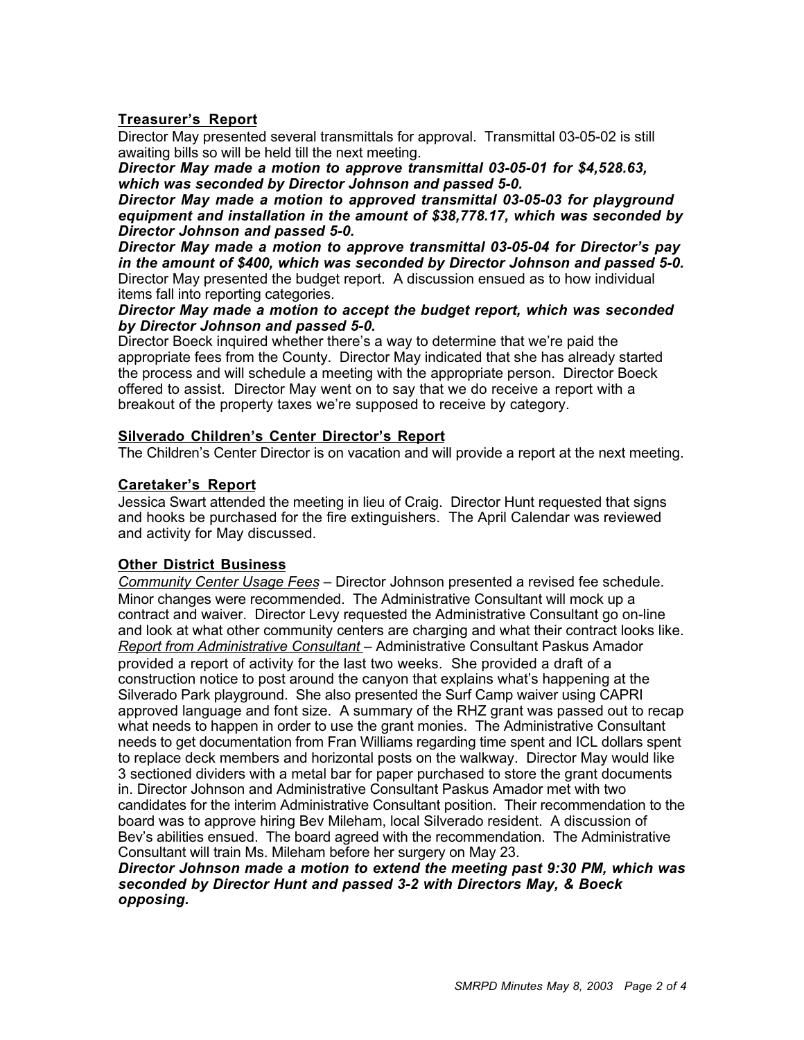# **Treasurer's Report**

Director May presented several transmittals for approval. Transmittal 03-05-02 is still awaiting bills so will be held till the next meeting.

*Director May made a motion to approve transmittal 03-05-01 for \$4,528.63, which was seconded by Director Johnson and passed 5-0.*

*Director May made a motion to approved transmittal 03-05-03 for playground equipment and installation in the amount of \$38,778.17, which was seconded by Director Johnson and passed 5-0.*

*Director May made a motion to approve transmittal 03-05-04 for Director's pay in the amount of \$400, which was seconded by Director Johnson and passed 5-0.* Director May presented the budget report. A discussion ensued as to how individual items fall into reporting categories.

*Director May made a motion to accept the budget report, which was seconded by Director Johnson and passed 5-0.*

Director Boeck inquired whether there's a way to determine that we're paid the appropriate fees from the County. Director May indicated that she has already started the process and will schedule a meeting with the appropriate person. Director Boeck offered to assist. Director May went on to say that we do receive a report with a breakout of the property taxes we're supposed to receive by category.

## **Silverado Children's Center Director's Report**

The Children's Center Director is on vacation and will provide a report at the next meeting.

## **Caretaker's Report**

Jessica Swart attended the meeting in lieu of Craig. Director Hunt requested that signs and hooks be purchased for the fire extinguishers. The April Calendar was reviewed and activity for May discussed.

## **Other District Business**

*Community Center Usage Fees* – Director Johnson presented a revised fee schedule. Minor changes were recommended. The Administrative Consultant will mock up a contract and waiver. Director Levy requested the Administrative Consultant go on-line and look at what other community centers are charging and what their contract looks like. *Report from Administrative Consultant* – Administrative Consultant Paskus Amador provided a report of activity for the last two weeks. She provided a draft of a construction notice to post around the canyon that explains what's happening at the Silverado Park playground. She also presented the Surf Camp waiver using CAPRI approved language and font size. A summary of the RHZ grant was passed out to recap what needs to happen in order to use the grant monies. The Administrative Consultant needs to get documentation from Fran Williams regarding time spent and ICL dollars spent to replace deck members and horizontal posts on the walkway. Director May would like 3 sectioned dividers with a metal bar for paper purchased to store the grant documents in. Director Johnson and Administrative Consultant Paskus Amador met with two candidates for the interim Administrative Consultant position. Their recommendation to the board was to approve hiring Bev Mileham, local Silverado resident. A discussion of Bev's abilities ensued. The board agreed with the recommendation. The Administrative Consultant will train Ms. Mileham before her surgery on May 23.

#### *Director Johnson made a motion to extend the meeting past 9:30 PM, which was seconded by Director Hunt and passed 3-2 with Directors May, & Boeck opposing.*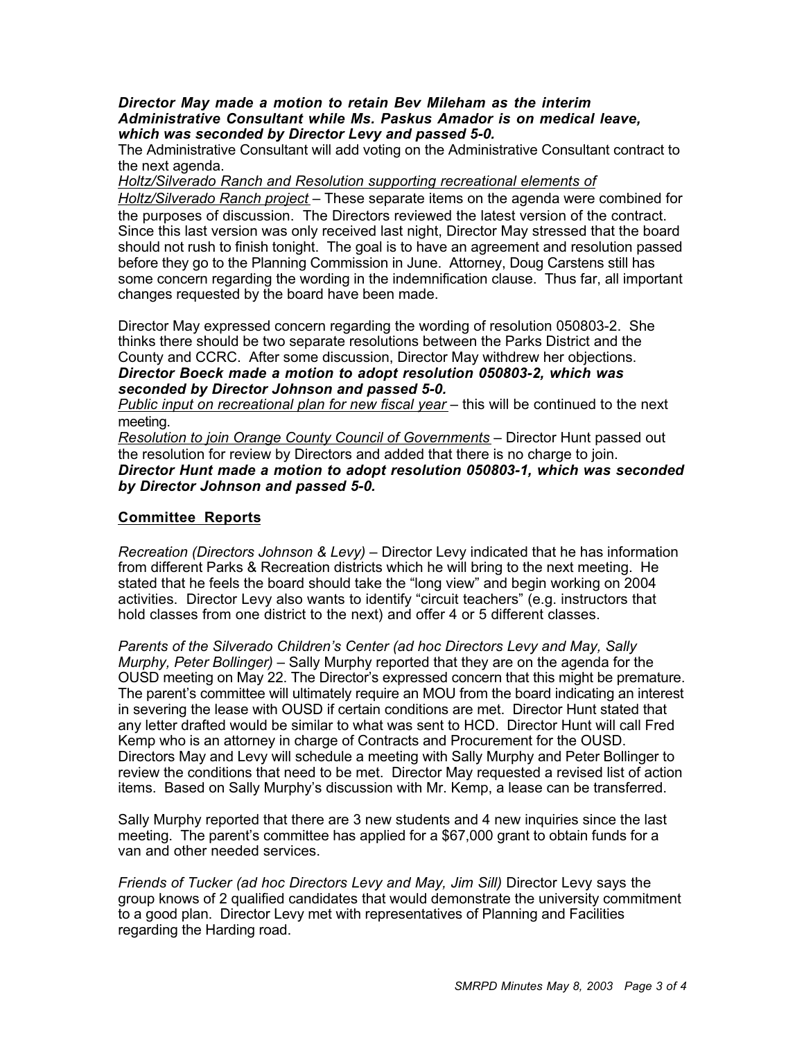## *Director May made a motion to retain Bev Mileham as the interim Administrative Consultant while Ms. Paskus Amador is on medical leave, which was seconded by Director Levy and passed 5-0.*

The Administrative Consultant will add voting on the Administrative Consultant contract to the next agenda.

*Holtz/Silverado Ranch and Resolution supporting recreational elements of*

*Holtz/Silverado Ranch project* – These separate items on the agenda were combined for the purposes of discussion. The Directors reviewed the latest version of the contract. Since this last version was only received last night, Director May stressed that the board should not rush to finish tonight. The goal is to have an agreement and resolution passed before they go to the Planning Commission in June. Attorney, Doug Carstens still has some concern regarding the wording in the indemnification clause. Thus far, all important changes requested by the board have been made.

Director May expressed concern regarding the wording of resolution 050803-2. She thinks there should be two separate resolutions between the Parks District and the County and CCRC. After some discussion, Director May withdrew her objections. *Director Boeck made a motion to adopt resolution 050803-2, which was seconded by Director Johnson and passed 5-0.*

*Public input on recreational plan for new fiscal year* – this will be continued to the next meeting.

*Resolution to join Orange County Council of Governments* – Director Hunt passed out the resolution for review by Directors and added that there is no charge to join. *Director Hunt made a motion to adopt resolution 050803-1, which was seconded by Director Johnson and passed 5-0.*

# **Committee Reports**

*Recreation (Directors Johnson & Levy)* – Director Levy indicated that he has information from different Parks & Recreation districts which he will bring to the next meeting. He stated that he feels the board should take the "long view" and begin working on 2004 activities. Director Levy also wants to identify "circuit teachers" (e.g. instructors that hold classes from one district to the next) and offer 4 or 5 different classes.

*Parents of the Silverado Children's Center (ad hoc Directors Levy and May, Sally Murphy, Peter Bollinger)* – Sally Murphy reported that they are on the agenda for the OUSD meeting on May 22. The Director's expressed concern that this might be premature. The parent's committee will ultimately require an MOU from the board indicating an interest in severing the lease with OUSD if certain conditions are met. Director Hunt stated that any letter drafted would be similar to what was sent to HCD. Director Hunt will call Fred Kemp who is an attorney in charge of Contracts and Procurement for the OUSD. Directors May and Levy will schedule a meeting with Sally Murphy and Peter Bollinger to review the conditions that need to be met. Director May requested a revised list of action items. Based on Sally Murphy's discussion with Mr. Kemp, a lease can be transferred.

Sally Murphy reported that there are 3 new students and 4 new inquiries since the last meeting. The parent's committee has applied for a \$67,000 grant to obtain funds for a van and other needed services.

*Friends of Tucker (ad hoc Directors Levy and May, Jim Sill)* Director Levy says the group knows of 2 qualified candidates that would demonstrate the university commitment to a good plan. Director Levy met with representatives of Planning and Facilities regarding the Harding road.